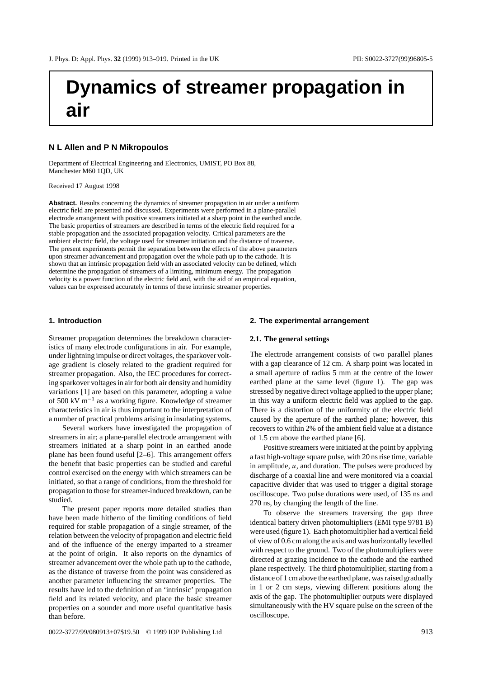# **Dynamics of streamer propagation in air**

# **N L Allen and P N Mikropoulos**

Department of Electrical Engineering and Electronics, UMIST, PO Box 88, Manchester M60 1QD, UK

Received 17 August 1998

**Abstract.** Results concerning the dynamics of streamer propagation in air under a uniform electric field are presented and discussed. Experiments were performed in a plane-parallel electrode arrangement with positive streamers initiated at a sharp point in the earthed anode. The basic properties of streamers are described in terms of the electric field required for a stable propagation and the associated propagation velocity. Critical parameters are the ambient electric field, the voltage used for streamer initiation and the distance of traverse. The present experiments permit the separation between the effects of the above parameters upon streamer advancement and propagation over the whole path up to the cathode. It is shown that an intrinsic propagation field with an associated velocity can be defined, which determine the propagation of streamers of a limiting, minimum energy. The propagation velocity is a power function of the electric field and, with the aid of an empirical equation, values can be expressed accurately in terms of these intrinsic streamer properties.

#### **1. Introduction**

Streamer propagation determines the breakdown characteristics of many electrode configurations in air. For example, under lightning impulse or direct voltages, the sparkover voltage gradient is closely related to the gradient required for streamer propagation. Also, the IEC procedures for correcting sparkover voltages in air for both air density and humidity variations [1] are based on this parameter, adopting a value of 500 kV m−<sup>1</sup> as a working figure. Knowledge of streamer characteristics in air is thus important to the interpretation of a number of practical problems arising in insulating systems.

Several workers have investigated the propagation of streamers in air; a plane-parallel electrode arrangement with streamers initiated at a sharp point in an earthed anode plane has been found useful [2–6]. This arrangement offers the benefit that basic properties can be studied and careful control exercised on the energy with which streamers can be initiated, so that a range of conditions, from the threshold for propagation to those for streamer-induced breakdown, can be studied.

The present paper reports more detailed studies than have been made hitherto of the limiting conditions of field required for stable propagation of a single streamer, of the relation between the velocity of propagation and electric field and of the influence of the energy imparted to a streamer at the point of origin. It also reports on the dynamics of streamer advancement over the whole path up to the cathode, as the distance of traverse from the point was considered as another parameter influencing the streamer properties. The results have led to the definition of an 'intrinsic' propagation field and its related velocity, and place the basic streamer properties on a sounder and more useful quantitative basis than before.

#### **2. The experimental arrangement**

#### **2.1. The general settings**

The electrode arrangement consists of two parallel planes with a gap clearance of 12 cm. A sharp point was located in a small aperture of radius 5 mm at the centre of the lower earthed plane at the same level (figure 1). The gap was stressed by negative direct voltage applied to the upper plane; in this way a uniform electric field was applied to the gap. There is a distortion of the uniformity of the electric field caused by the aperture of the earthed plane; however, this recovers to within 2% of the ambient field value at a distance of 1.5 cm above the earthed plane [6].

Positive streamers were initiated at the point by applying a fast high-voltage square pulse, with 20 ns rise time, variable in amplitude, *u*, and duration. The pulses were produced by discharge of a coaxial line and were monitored via a coaxial capacitive divider that was used to trigger a digital storage oscilloscope. Two pulse durations were used, of 135 ns and 270 ns, by changing the length of the line.

To observe the streamers traversing the gap three identical battery driven photomultipliers (EMI type 9781 B) were used (figure 1). Each photomultiplier had a vertical field of view of 0.6 cm along the axis and was horizontally levelled with respect to the ground. Two of the photomultipliers were directed at grazing incidence to the cathode and the earthed plane respectively. The third photomultiplier, starting from a distance of 1 cm above the earthed plane, was raised gradually in 1 or 2 cm steps, viewing different positions along the axis of the gap. The photomultiplier outputs were displayed simultaneously with the HV square pulse on the screen of the oscilloscope.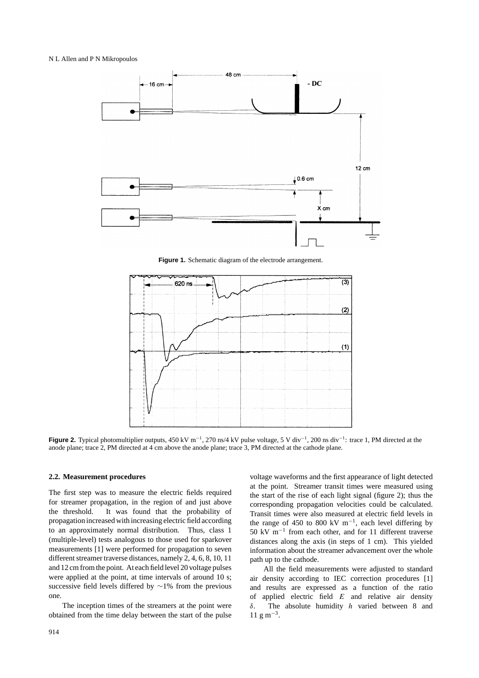#### N L Allen and P N Mikropoulos



**Figure 1.** Schematic diagram of the electrode arrangement.



**Figure 2.** Typical photomultiplier outputs, 450 kV m<sup>-1</sup>, 270 ns/4 kV pulse voltage, 5 V div<sup>-1</sup>, 200 ns div<sup>-1</sup>: trace 1, PM directed at the anode plane; trace 2, PM directed at 4 cm above the anode plane; trace 3, PM directed at the cathode plane.

# **2.2. Measurement procedures**

The first step was to measure the electric fields required for streamer propagation, in the region of and just above the threshold. It was found that the probability of propagation increased with increasing electric field according to an approximately normal distribution. Thus, class 1 (multiple-level) tests analogous to those used for sparkover measurements [1] were performed for propagation to seven different streamer traverse distances, namely 2, 4, 6, 8, 10, 11 and 12 cm from the point. At each field level 20 voltage pulses were applied at the point, at time intervals of around 10 s; successive field levels differed by ∼1% from the previous one.

The inception times of the streamers at the point were obtained from the time delay between the start of the pulse voltage waveforms and the first appearance of light detected at the point. Streamer transit times were measured using the start of the rise of each light signal (figure 2); thus the corresponding propagation velocities could be calculated. Transit times were also measured at electric field levels in the range of 450 to 800 kV m<sup>-1</sup>, each level differing by 50 kV m−<sup>1</sup> from each other, and for 11 different traverse distances along the axis (in steps of 1 cm). This yielded information about the streamer advancement over the whole path up to the cathode.

All the field measurements were adjusted to standard air density according to IEC correction procedures [1] and results are expressed as a function of the ratio of applied electric field *E* and relative air density *δ*. The absolute humidity *h* varied between 8 and  $11 \text{ g m}^{-3}$ .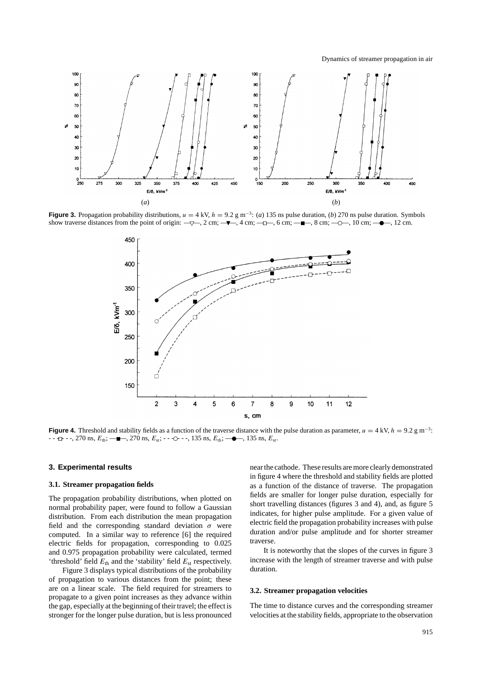Dynamics of streamer propagation in air



**Figure 3.** Propagation probability distributions,  $u = 4 \text{ kV}$ ,  $h = 9.2 \text{ g m}^{-3}$ : (*a*) 135 ns pulse duration, (*b*) 270 ns pulse duration. Symbols show traverse distances from the point of origin:  $-\sqrt{2}$ ,  $2 \text{ cm}$ ;  $-\sqrt{2}$ ,  $4 \text{ cm}$ ;  $-\sqrt{2}$ ,  $6 \text{ cm}$ ;  $-\sqrt{2}$ ,  $8 \text{ cm}$ ;  $-\sqrt{2}$ ,  $10 \text{ cm}$ ;  $-\sqrt{2}$ ,  $12 \text{ cm}$ .



**Figure 4.** Threshold and stability fields as a function of the traverse distance with the pulse duration as parameter,  $u = 4$  kV,  $h = 9.2$  g m<sup>-3</sup>: -- <del>□</del> - -, 270 ns,  $E_{th}$ ; —■–, 270 ns,  $E_{st}$ ; - - -○ - -, 135 ns,  $E_{th}$ ; —●–, 135 ns,  $E_{st}$ .

# **3. Experimental results**

## **3.1. Streamer propagation fields**

The propagation probability distributions, when plotted on normal probability paper, were found to follow a Gaussian distribution. From each distribution the mean propagation field and the corresponding standard deviation *σ* were computed. In a similar way to reference [6] the required electric fields for propagation, corresponding to 0.025 and 0.975 propagation probability were calculated, termed 'threshold' field  $E_{th}$  and the 'stability' field  $E_{st}$  respectively.

Figure 3 displays typical distributions of the probability of propagation to various distances from the point; these are on a linear scale. The field required for streamers to propagate to a given point increases as they advance within the gap, especially at the beginning of their travel; the effect is stronger for the longer pulse duration, but is less pronounced

near the cathode. These results are more clearly demonstrated in figure 4 where the threshold and stability fields are plotted as a function of the distance of traverse. The propagation fields are smaller for longer pulse duration, especially for short travelling distances (figures 3 and 4), and, as figure 5 indicates, for higher pulse amplitude. For a given value of electric field the propagation probability increases with pulse duration and/or pulse amplitude and for shorter streamer traverse.

It is noteworthy that the slopes of the curves in figure 3 increase with the length of streamer traverse and with pulse duration.

# **3.2. Streamer propagation velocities**

The time to distance curves and the corresponding streamer velocities at the stability fields, appropriate to the observation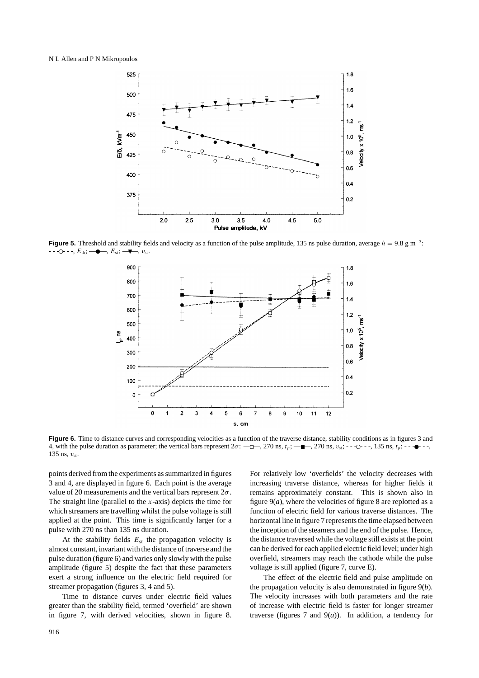

**Figure 5.** Threshold and stability fields and velocity as a function of the pulse amplitude, 135 ns pulse duration, average *h* = 9.8 g m<sup>-3</sup>:<br>- - - O - - - E<sub>n</sub>: → - - — - E<sub>n</sub>: → - E<sub>n</sub>: → V<sub>n</sub>. - -O- - -, *E*<sub>th</sub>; —●—, *E*<sub>st</sub>; —♥



Figure 6. Time to distance curves and corresponding velocities as a function of the traverse distance, stability conditions as in figures 3 and 4, with the pulse duration as parameter; the vertical bars represent  $2\sigma$ : — $\Box$ —, 270 ns,  $t_p$ ; — $\Box$ —, 270 ns,  $v_{st}$ ; - -  $\Diamond$  - -, 135 ns,  $t_p$ ; - - $\Diamond$  - -, 135 ns,  $v_{\text{st}}$ .

points derived from the experiments as summarized in figures 3 and 4, are displayed in figure 6. Each point is the average value of 20 measurements and the vertical bars represent 2*σ*. The straight line (parallel to the *x*-axis) depicts the time for which streamers are travelling whilst the pulse voltage is still applied at the point. This time is significantly larger for a pulse with 270 ns than 135 ns duration.

At the stability fields  $E_{st}$  the propagation velocity is almost constant, invariant with the distance of traverse and the pulse duration (figure 6) and varies only slowly with the pulse amplitude (figure 5) despite the fact that these parameters exert a strong influence on the electric field required for streamer propagation (figures 3, 4 and 5).

Time to distance curves under electric field values greater than the stability field, termed 'overfield' are shown in figure 7, with derived velocities, shown in figure 8.

For relatively low 'overfields' the velocity decreases with increasing traverse distance, whereas for higher fields it remains approximately constant. This is shown also in figure  $9(a)$ , where the velocities of figure 8 are replotted as a function of electric field for various traverse distances. The horizontal line in figure 7 represents the time elapsed between the inception of the steamers and the end of the pulse. Hence, the distance traversed while the voltage still exists at the point can be derived for each applied electric field level; under high overfield, streamers may reach the cathode while the pulse voltage is still applied (figure 7, curve E).

The effect of the electric field and pulse amplitude on the propagation velocity is also demonstrated in figure 9(*b*). The velocity increases with both parameters and the rate of increase with electric field is faster for longer streamer traverse (figures 7 and  $9(a)$ ). In addition, a tendency for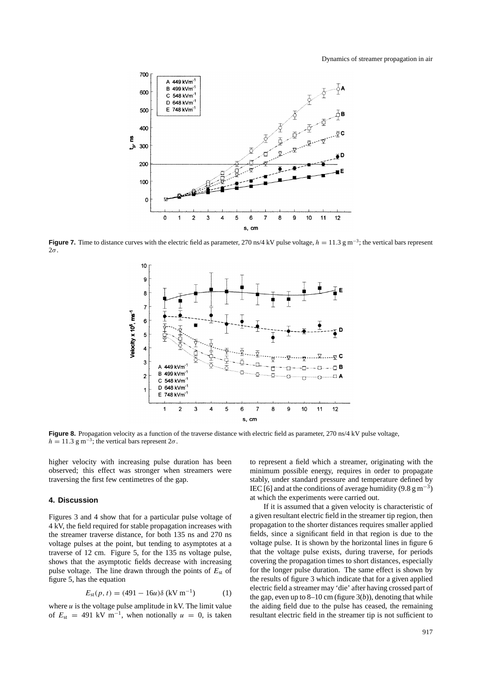Dynamics of streamer propagation in air



**Figure 7.** Time to distance curves with the electric field as parameter, 270 ns/4 kV pulse voltage,  $h = 11.3$  g m<sup>-3</sup>; the vertical bars represent 2*σ*.



**Figure 8.** Propagation velocity as a function of the traverse distance with electric field as parameter, 270 ns/4 kV pulse voltage,  $h = 11.3$  g m<sup>-3</sup>; the vertical bars represent  $2\sigma$ .

higher velocity with increasing pulse duration has been observed; this effect was stronger when streamers were traversing the first few centimetres of the gap.

# **4. Discussion**

Figures 3 and 4 show that for a particular pulse voltage of 4 kV, the field required for stable propagation increases with the streamer traverse distance, for both 135 ns and 270 ns voltage pulses at the point, but tending to asymptotes at a traverse of 12 cm. Figure 5, for the 135 ns voltage pulse, shows that the asymptotic fields decrease with increasing pulse voltage. The line drawn through the points of  $E_{\text{st}}$  of figure 5, has the equation

$$
E_{\rm st}(p, t) = (491 - 16u)\delta \text{ (kV m}^{-1})
$$
 (1)

where *u* is the voltage pulse amplitude in kV. The limit value of  $E_{\text{st}} = 491 \text{ kV m}^{-1}$ , when notionally  $u = 0$ , is taken

to represent a field which a streamer, originating with the minimum possible energy, requires in order to propagate stably, under standard pressure and temperature defined by IEC [6] and at the conditions of average humidity (9.8 g m<sup>-3</sup>) at which the experiments were carried out.

If it is assumed that a given velocity is characteristic of a given resultant electric field in the streamer tip region, then propagation to the shorter distances requires smaller applied fields, since a significant field in that region is due to the voltage pulse. It is shown by the horizontal lines in figure 6 that the voltage pulse exists, during traverse, for periods covering the propagation times to short distances, especially for the longer pulse duration. The same effect is shown by the results of figure 3 which indicate that for a given applied electric field a streamer may 'die' after having crossed part of the gap, even up to  $8-10$  cm (figure  $3(b)$ ), denoting that while the aiding field due to the pulse has ceased, the remaining resultant electric field in the streamer tip is not sufficient to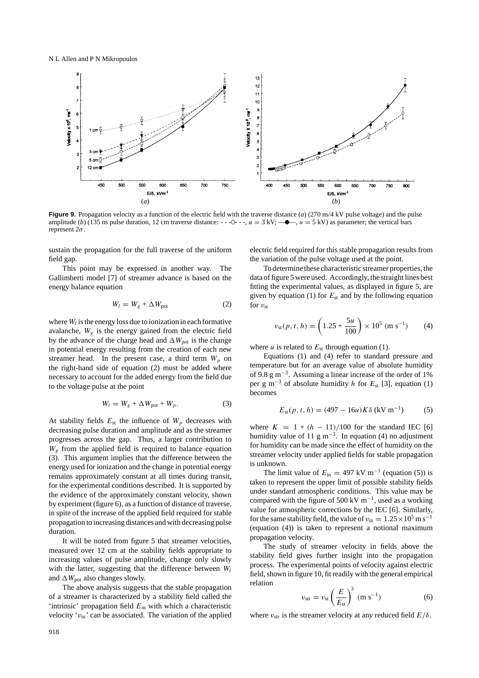

**Figure 9.** Propagation velocity as a function of the electric field with the traverse distance (*a*) (270 ns/4 kV pulse voltage) and the pulse amplitude (*b*) (135 ns pulse duration, 12 cm traverse distance:  $- -$  - $\circ$  $-$  - $, u = 3$  kV;  $-\bullet$ ,  $u = 5$  kV) as parameter; the vertical bars represent 2*σ*.

sustain the propagation for the full traverse of the uniform field gap.

This point may be expressed in another way. The Gallimberti model [7] of streamer advance is based on the energy balance equation

$$
W_l = W_g + \Delta W_{\text{pot}} \tag{2}
$$

where  $W_l$  is the energy loss due to ionization in each formative avalanche,  $W_g$  is the energy gained from the electric field by the advance of the charge head and  $\Delta W_{pot}$  is the change in potential energy resulting from the creation of each new streamer head. In the present case, a third term  $W_p$  on the right-hand side of equation (2) must be added where necessary to account for the added energy from the field due to the voltage pulse at the point

$$
W_l = W_g + \Delta W_{pot} + W_p. \tag{3}
$$

At stability fields  $E_{\text{st}}$  the influence of  $W_p$  decreases with decreasing pulse duration and amplitude and as the streamer progresses across the gap. Thus, a larger contribution to  $W<sub>g</sub>$  from the applied field is required to balance equation (3). This argument implies that the difference between the energy used for ionization and the change in potential energy remains approximately constant at all times during transit, for the experimental conditions described. It is supported by the evidence of the approximately constant velocity, shown by experiment (figure 6), as a function of distance of traverse, in spite of the increase of the applied field required for stable propagation to increasing distances and with decreasing pulse duration.

It will be noted from figure 5 that streamer velocities, measured over 12 cm at the stability fields appropriate to increasing values of pulse amplitude, change only slowly with the latter, suggesting that the difference between  $W_l$ and  $\Delta W_{\text{pot}}$  also changes slowly.

The above analysis suggests that the stable propagation of a streamer is characterized by a stability field called the 'intrinsic' propagation field *E*in with which a characteristic velocity  $v_{\text{in}}$  can be associated. The variation of the applied

electric field required for this stable propagation results from the variation of the pulse voltage used at the point.

To determine these characteristic streamer properties, the data of figure 5 were used. Accordingly, the straight lines best fitting the experimental values, as displayed in figure 5, are given by equation (1) for  $E_{st}$  and by the following equation for  $v_{\rm st}$ 

$$
v_{\rm st}(p, t, h) = \left(1.25 + \frac{5u}{100}\right) \times 10^5 \, (\text{m s}^{-1}) \tag{4}
$$

where  $u$  is related to  $E_{\text{st}}$  through equation (1).

Equations (1) and (4) refer to standard pressure and temperature but for an average value of absolute humidity of 9.8 g m−3. Assuming a linear increase of the order of 1% per g m−<sup>3</sup> of absolute humidity *h* for *E*st [3], equation (1) becomes

$$
E_{\rm st}(p, t, h) = (497 - 16u)K\delta \, (\rm kV \, m^{-1}) \tag{5}
$$

where  $K = 1 + (h - 11)/100$  for the standard IEC [6] humidity value of 11 g m<sup>-3</sup>. In equation (4) no adjustment for humidity can be made since the effect of humidity on the streamer velocity under applied fields for stable propagation is unknown.

The limit value of  $E_{\text{in}} = 497 \text{ kV m}^{-1}$  (equation (5)) is taken to represent the upper limit of possible stability fields under standard atmospheric conditions. This value may be compared with the figure of 500 kV m<sup>-1</sup>, used as a working value for atmospheric corrections by the IEC [6]. Similarly, for the same stability field, the value of  $v_{\rm in} = 1.25 \times 10^5$  m s<sup>-1</sup> (equation (4)) is taken to represent a notional maximum propagation velocity.

The study of streamer velocity in fields above the stability field gives further insight into the propagation process. The experimental points of velocity against electric field, shown in figure 10, fit readily with the general empirical relation

$$
v_{\rm str} = v_{\rm st} \left(\frac{E}{E_{\rm st}}\right)^3 \, \, (\text{m s}^{-1}) \tag{6}
$$

where  $v_{\text{str}}$  is the streamer velocity at any reduced field  $E/\delta$ .